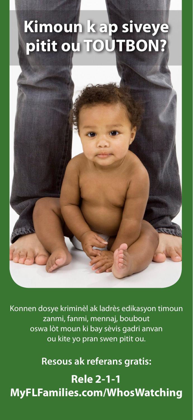# **Kimoun k ap siveye pitit ou TOUTBON?**



Konnen dosye kriminèl ak ladrès edikasyon timoun zanmi, fanmi, mennaj, boubout oswa lòt moun ki bay sèvis gadri anvan ou kite yo pran swen pitit ou.

**Resous ak referans gratis:**

**Rele 2-1-1 MyFLFamilies.com/WhosWatching**